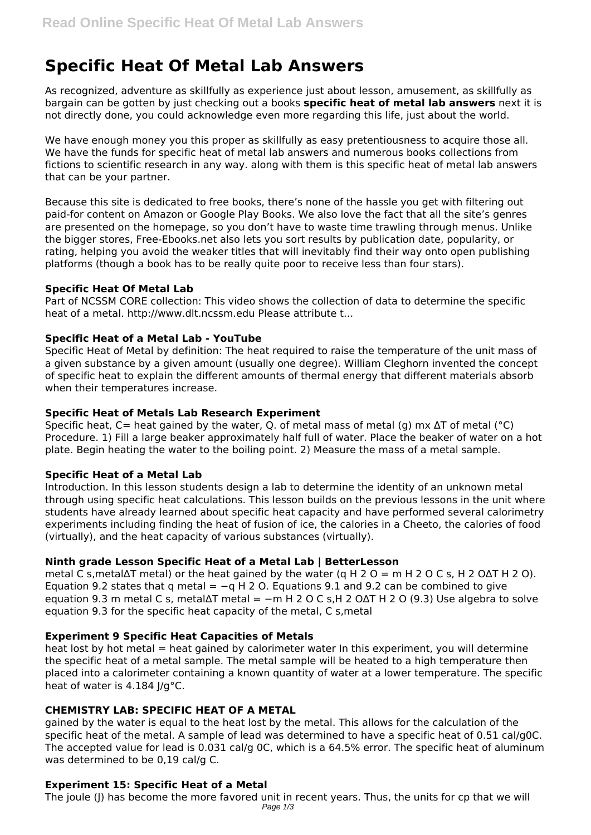# **Specific Heat Of Metal Lab Answers**

As recognized, adventure as skillfully as experience just about lesson, amusement, as skillfully as bargain can be gotten by just checking out a books **specific heat of metal lab answers** next it is not directly done, you could acknowledge even more regarding this life, just about the world.

We have enough money you this proper as skillfully as easy pretentiousness to acquire those all. We have the funds for specific heat of metal lab answers and numerous books collections from fictions to scientific research in any way. along with them is this specific heat of metal lab answers that can be your partner.

Because this site is dedicated to free books, there's none of the hassle you get with filtering out paid-for content on Amazon or Google Play Books. We also love the fact that all the site's genres are presented on the homepage, so you don't have to waste time trawling through menus. Unlike the bigger stores, Free-Ebooks.net also lets you sort results by publication date, popularity, or rating, helping you avoid the weaker titles that will inevitably find their way onto open publishing platforms (though a book has to be really quite poor to receive less than four stars).

## **Specific Heat Of Metal Lab**

Part of NCSSM CORE collection: This video shows the collection of data to determine the specific heat of a metal. http://www.dlt.ncssm.edu Please attribute t...

## **Specific Heat of a Metal Lab - YouTube**

Specific Heat of Metal by definition: The heat required to raise the temperature of the unit mass of a given substance by a given amount (usually one degree). William Cleghorn invented the concept of specific heat to explain the different amounts of thermal energy that different materials absorb when their temperatures increase.

## **Specific Heat of Metals Lab Research Experiment**

Specific heat, C= heat gained by the water, Q. of metal mass of metal (q) mx  $\Delta T$  of metal (°C) Procedure. 1) Fill a large beaker approximately half full of water. Place the beaker of water on a hot plate. Begin heating the water to the boiling point. 2) Measure the mass of a metal sample.

#### **Specific Heat of a Metal Lab**

Introduction. In this lesson students design a lab to determine the identity of an unknown metal through using specific heat calculations. This lesson builds on the previous lessons in the unit where students have already learned about specific heat capacity and have performed several calorimetry experiments including finding the heat of fusion of ice, the calories in a Cheeto, the calories of food (virtually), and the heat capacity of various substances (virtually).

# **Ninth grade Lesson Specific Heat of a Metal Lab | BetterLesson**

metal C s,metal∆T metal) or the heat gained by the water (q H 2 O = m H 2 O C s, H 2 O∆T H 2 O). Equation 9.2 states that q metal =  $-qH 2O$ . Equations 9.1 and 9.2 can be combined to give equation 9.3 m metal C s, metal∆T metal =  $-m H 2 O C s$ ,H 2 O $\Delta T H 2 O (9.3)$  Use algebra to solve equation 9.3 for the specific heat capacity of the metal, C s,metal

# **Experiment 9 Specific Heat Capacities of Metals**

heat lost by hot metal = heat gained by calorimeter water In this experiment, you will determine the specific heat of a metal sample. The metal sample will be heated to a high temperature then placed into a calorimeter containing a known quantity of water at a lower temperature. The specific heat of water is 4.184 J/g°C.

# **CHEMISTRY LAB: SPECIFIC HEAT OF A METAL**

gained by the water is equal to the heat lost by the metal. This allows for the calculation of the specific heat of the metal. A sample of lead was determined to have a specific heat of 0.51 cal/g0C. The accepted value for lead is 0.031 cal/g 0C, which is a 64.5% error. The specific heat of aluminum was determined to be 0,19 cal/g C.

# **Experiment 15: Specific Heat of a Metal**

The joule (J) has become the more favored unit in recent years. Thus, the units for cp that we will Page  $1/3$